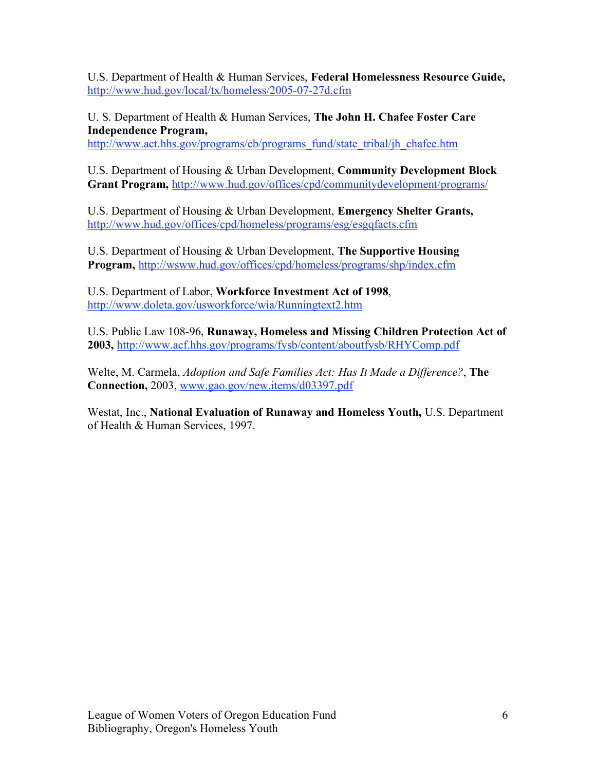U.S. Department of Health & Human Services, **Federal Homelessness Resource Guide,** http://www.hud.gov/local/tx/homeless/2005-07-27d.cfm

U. S. Department of Health & Human Services, **The John H. Chafee Foster Care Independence Program,**

http://www.act.hhs.gov/programs/cb/programs\_fund/state\_tribal/jh\_chafee.htm

U.S. Department of Housing & Urban Development, **Community Development Block Grant Program,** http://www.hud.gov/offices/cpd/communitydevelopment/programs/

U.S. Department of Housing & Urban Development, **Emergency Shelter Grants,** http://www.hud.gov/offices/cpd/homeless/programs/esg/esgqfacts.cfm

U.S. Department of Housing & Urban Development, **The Supportive Housing Program,** http://wsww.hud.gov/offices/cpd/homeless/programs/shp/index.cfm

U.S. Department of Labor, **Workforce Investment Act of 1998**, http://www.doleta.gov/usworkforce/wia/Runningtext2.htm

U.S. Public Law 108-96, **Runaway, Homeless and Missing Children Protection Act of 2003,** http://www.acf.hhs.gov/programs/fysb/content/aboutfysb/RHYComp.pdf

Welte, M. Carmela, *Adoption and Safe Families Act: Has It Made a Difference?*, **The Connection,** 2003, www.gao.gov/new.items/d03397.pdf

Westat, Inc., **National Evaluation of Runaway and Homeless Youth,** U.S. Department of Health & Human Services, 1997.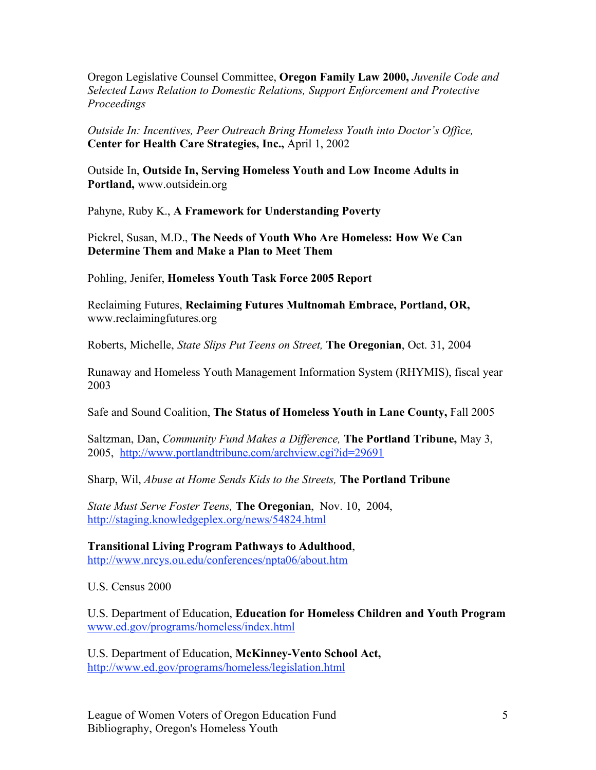Oregon Legislative Counsel Committee, **Oregon Family Law 2000,** *Juvenile Code and Selected Laws Relation to Domestic Relations, Support Enforcement and Protective Proceedings*

*Outside In: Incentives, Peer Outreach Bring Homeless Youth into Doctor's Office,* **Center for Health Care Strategies, Inc.,** April 1, 2002

Outside In, **Outside In, Serving Homeless Youth and Low Income Adults in Portland,** www.outsidein.org

Pahyne, Ruby K., **A Framework for Understanding Poverty**

Pickrel, Susan, M.D., **The Needs of Youth Who Are Homeless: How We Can Determine Them and Make a Plan to Meet Them**

Pohling, Jenifer, **Homeless Youth Task Force 2005 Report**

Reclaiming Futures, **Reclaiming Futures Multnomah Embrace, Portland, OR,** www.reclaimingfutures.org

Roberts, Michelle, *State Slips Put Teens on Street,* **The Oregonian**, Oct. 31, 2004

Runaway and Homeless Youth Management Information System (RHYMIS), fiscal year 2003

Safe and Sound Coalition, **The Status of Homeless Youth in Lane County,** Fall 2005

Saltzman, Dan, *Community Fund Makes a Difference,* **The Portland Tribune,** May 3, 2005, http://www.portlandtribune.com/archview.cgi?id=29691

Sharp, Wil, *Abuse at Home Sends Kids to the Streets,* **The Portland Tribune**

*State Must Serve Foster Teens,* **The Oregonian**, Nov. 10, 2004, http://staging.knowledgeplex.org/news/54824.html

**Transitional Living Program Pathways to Adulthood**, http://www.nrcys.ou.edu/conferences/npta06/about.htm

U.S. Census 2000

U.S. Department of Education, **Education for Homeless Children and Youth Program** www.ed.gov/programs/homeless/index.html

U.S. Department of Education, **McKinney-Vento School Act,** http://www.ed.gov/programs/homeless/legislation.html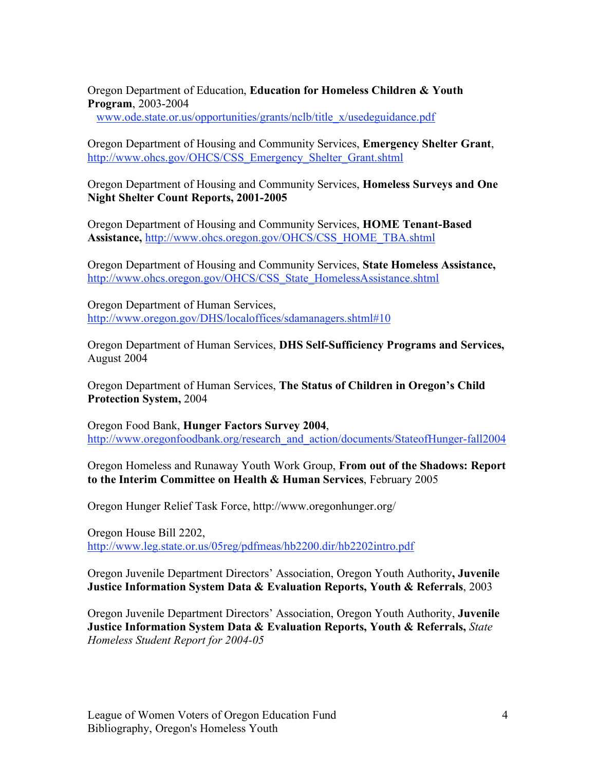Oregon Department of Education, **Education for Homeless Children & Youth Program**, 2003-2004

www.ode.state.or.us/opportunities/grants/nclb/title\_x/usedeguidance.pdf

Oregon Department of Housing and Community Services, **Emergency Shelter Grant**, http://www.ohcs.gov/OHCS/CSS\_Emergency\_Shelter\_Grant.shtml

Oregon Department of Housing and Community Services, **Homeless Surveys and One Night Shelter Count Reports, 2001-2005**

Oregon Department of Housing and Community Services, **HOME Tenant-Based Assistance,** http://www.ohcs.oregon.gov/OHCS/CSS\_HOME\_TBA.shtml

Oregon Department of Housing and Community Services, **State Homeless Assistance,** http://www.ohcs.oregon.gov/OHCS/CSS\_State\_HomelessAssistance.shtml

Oregon Department of Human Services, http://www.oregon.gov/DHS/localoffices/sdamanagers.shtml#10

Oregon Department of Human Services, **DHS Self-Sufficiency Programs and Services,** August 2004

Oregon Department of Human Services, **The Status of Children in Oregon's Child Protection System,** 2004

Oregon Food Bank, **Hunger Factors Survey 2004**, http://www.oregonfoodbank.org/research\_and\_action/documents/StateofHunger-fall2004

Oregon Homeless and Runaway Youth Work Group, **From out of the Shadows: Report to the Interim Committee on Health & Human Services**, February 2005

Oregon Hunger Relief Task Force, http://www.oregonhunger.org/

Oregon House Bill 2202, http://www.leg.state.or.us/05reg/pdfmeas/hb2200.dir/hb2202intro.pdf

Oregon Juvenile Department Directors' Association, Oregon Youth Authority**, Juvenile Justice Information System Data & Evaluation Reports, Youth & Referrals**, 2003

Oregon Juvenile Department Directors' Association, Oregon Youth Authority, **Juvenile Justice Information System Data & Evaluation Reports, Youth & Referrals,** *State Homeless Student Report for 2004-05*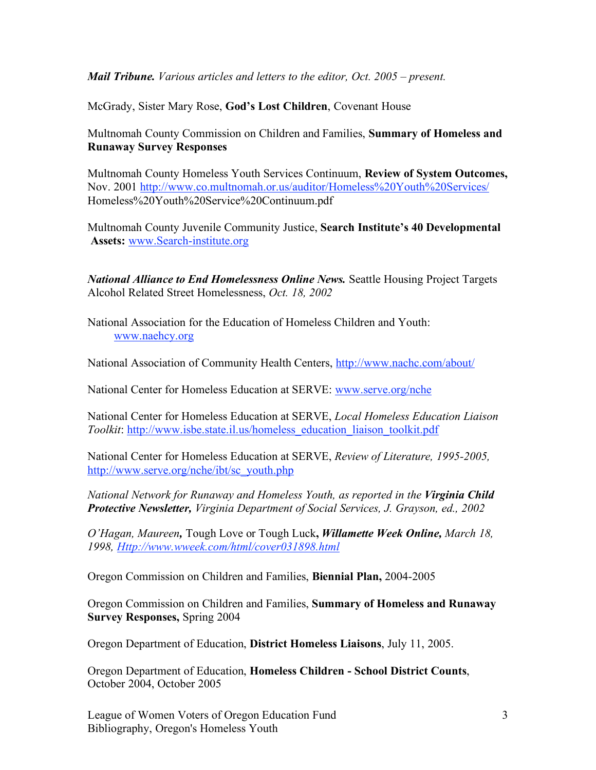*Mail Tribune. Various articles and letters to the editor, Oct. 2005 – present.*

McGrady, Sister Mary Rose, **God's Lost Children**, Covenant House

Multnomah County Commission on Children and Families, **Summary of Homeless and Runaway Survey Responses**

Multnomah County Homeless Youth Services Continuum, **Review of System Outcomes,** Nov. 2001 http://www.co.multnomah.or.us/auditor/Homeless%20Youth%20Services/ Homeless%20Youth%20Service%20Continuum.pdf

Multnomah County Juvenile Community Justice, **Search Institute's 40 Developmental Assets:** www.Search-institute.org

*National Alliance to End Homelessness Online News.* Seattle Housing Project Targets Alcohol Related Street Homelessness, *Oct. 18, 2002*

National Association for the Education of Homeless Children and Youth: www.naehcy.org

National Association of Community Health Centers, http://www.nachc.com/about/

National Center for Homeless Education at SERVE: www.serve.org/nche

National Center for Homeless Education at SERVE, *Local Homeless Education Liaison Toolkit*: http://www.isbe.state.il.us/homeless\_education\_liaison\_toolkit.pdf

National Center for Homeless Education at SERVE, *Review of Literature, 1995-2005,* http://www.serve.org/nche/ibt/sc\_youth.php

*National Network for Runaway and Homeless Youth, as reported in the Virginia Child Protective Newsletter, Virginia Department of Social Services, J. Grayson, ed., 2002*

*O'Hagan, Maureen,* Tough Love or Tough Luck**,** *Willamette Week Online, March 18, 1998, Http://www.wweek.com/html/cover031898.html*

Oregon Commission on Children and Families, **Biennial Plan,** 2004-2005

Oregon Commission on Children and Families, **Summary of Homeless and Runaway Survey Responses,** Spring 2004

Oregon Department of Education, **District Homeless Liaisons**, July 11, 2005.

Oregon Department of Education, **Homeless Children - School District Counts**, October 2004, October 2005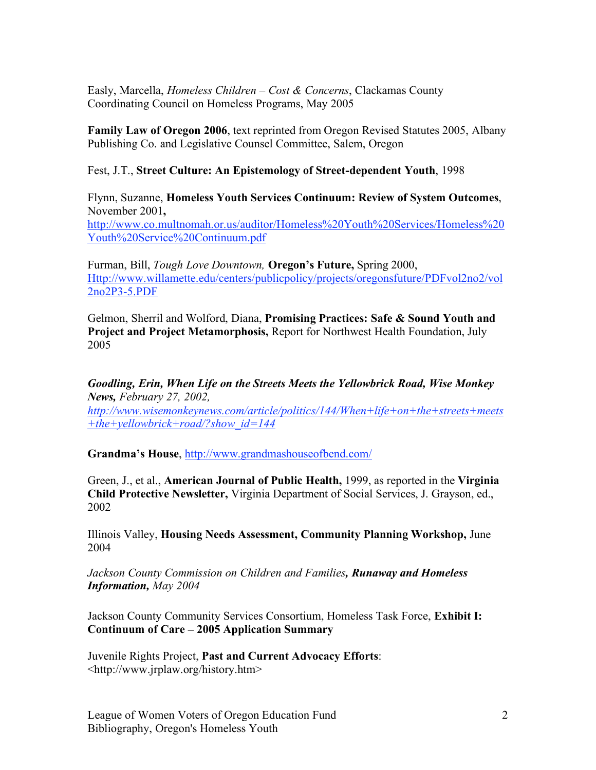Easly, Marcella, *Homeless Children – Cost & Concerns*, Clackamas County Coordinating Council on Homeless Programs, May 2005

**Family Law of Oregon 2006**, text reprinted from Oregon Revised Statutes 2005, Albany Publishing Co. and Legislative Counsel Committee, Salem, Oregon

## Fest, J.T., **Street Culture: An Epistemology of Street-dependent Youth**, 1998

Flynn, Suzanne, **Homeless Youth Services Continuum: Review of System Outcomes**, November 2001**,**

http://www.co.multnomah.or.us/auditor/Homeless%20Youth%20Services/Homeless%20 Youth%20Service%20Continuum.pdf

Furman, Bill, *Tough Love Downtown,* **Oregon's Future,** Spring 2000, Http://www.willamette.edu/centers/publicpolicy/projects/oregonsfuture/PDFvol2no2/vol 2no2P3-5.PDF

Gelmon, Sherril and Wolford, Diana, **Promising Practices: Safe & Sound Youth and Project and Project Metamorphosis,** Report for Northwest Health Foundation, July 2005

*Goodling, Erin, When Life on the Streets Meets the Yellowbrick Road, Wise Monkey News, February 27, 2002,*

*http://www.wisemonkeynews.com/article/politics/144/When+life+on+the+streets+meets +the+yellowbrick+road/?show\_id=144*

**Grandma's House**, http://www.grandmashouseofbend.com/

Green, J., et al., **American Journal of Public Health,** 1999, as reported in the **Virginia Child Protective Newsletter,** Virginia Department of Social Services, J. Grayson, ed., 2002

Illinois Valley, **Housing Needs Assessment, Community Planning Workshop,** June 2004

*Jackson County Commission on Children and Families, Runaway and Homeless Information, May 2004*

Jackson County Community Services Consortium, Homeless Task Force, **Exhibit I: Continuum of Care – 2005 Application Summary**

Juvenile Rights Project, **Past and Current Advocacy Efforts**: <http://www.jrplaw.org/history.htm>